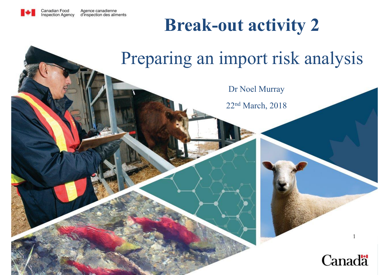

### **Break-out activity 2**

### Preparing an import risk analysis

Dr Noel Murray

22n<sup>d</sup> March, 2018

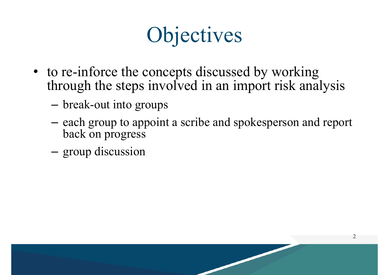# **Objectives**

- to re-inforce the concepts discussed by working through the steps involved in an import risk analysis
	- break-out into groups
	- –- each group to appoint a scribe and spokesperson and report back on progress
	- group discussion

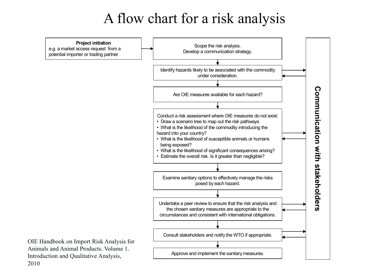#### A flow chart for a risk analysis

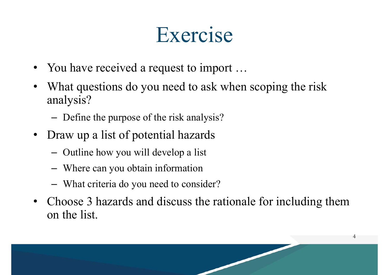# Exercise

- You have received a request to import ...
- •What questions do you need to ask when scoping the risk analysis?
	- –Define the purpose of the risk analysis?
- Draw up a list of potential hazards
	- Outline how you will develop a list
	- Where can you obtain information
	- What criteria do you need to consider?
- • Choose 3 hazards and discuss the rationale for including them on the list.

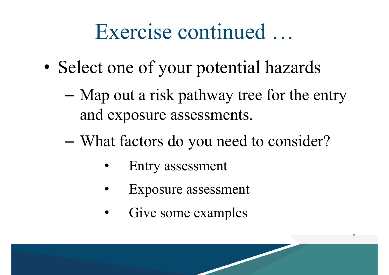### Exercise continued …

- •• Select one of your potential hazards
	- – Map out a risk pathway tree for the entry and exposure assessments.

- – What factors do you need to consider?
	- •Entry assessment
	- •Exposure assessment
	- •Give some examples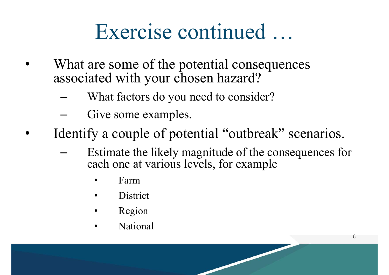# Exercise continued …

- • What are some of the potential consequences associated with your chosen hazard?
	- –What factors do you need to consider?
	- –Give some examples.
- •Identify a couple of potential "outbreak" scenarios.
	- – Estimate the likely magnitude of the consequences for each one at various levels, for example
		- •Farm
		- •**District**
		- •Region
		- •National

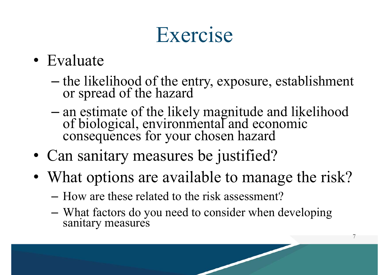# Exercise

- Evaluate
	- –the likelihood of the entry, exposure, establishment or spread of the hazard
	- –an estimate of the likely magnitude and likelihood of biological, environmental and economic consequences for your chosen hazard
- Can sanitary measures be justified?
- What options are available to manage the risk?
	- How are these related to the risk assessment?
	- What factors do you need to consider when developing sanitary measures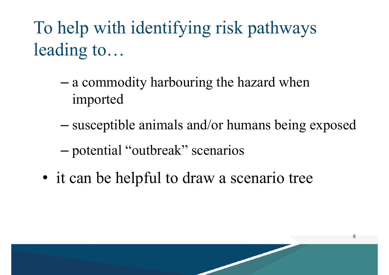To help with identifying risk pathways leading to…

- – a commodity harbouring the hazard when imported
- –susceptible animals and/or humans being exposed

- –potential "outbreak" scenarios
- it can be helpful to draw a scenario tree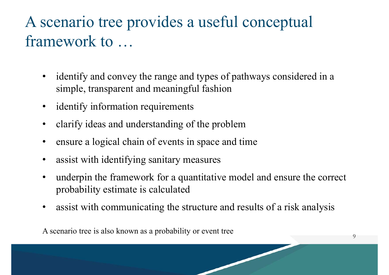#### A scenario tree provides a useful conceptual framework to …

- $\bullet$  identify and convey the range and types of pathways considered in a simple, transparent and meaningful fashion
- $\bullet$ identify information requirements
- •clarify ideas and understanding of the problem
- •ensure a logical chain of events in space and time
- •assist with identifying sanitary measures
- • underpin the framework for a quantitative model and ensure the correct probability estimate is calculated
- •assist with communicating the structure and results of a risk analysis

A scenario tree is also known as a probability or event tree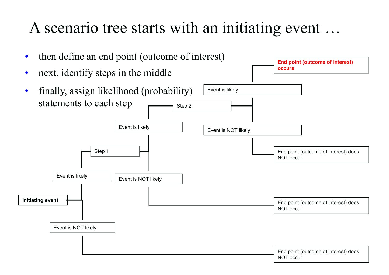#### A scenario tree starts with an initiating event …

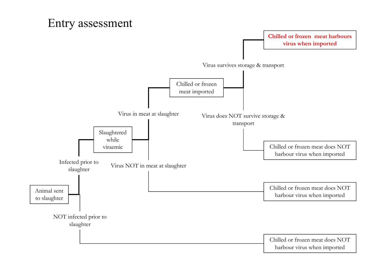#### Entry assessment

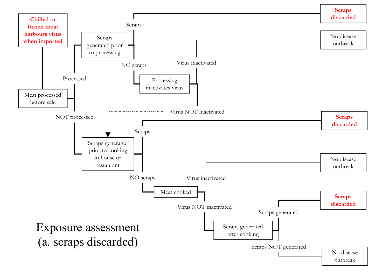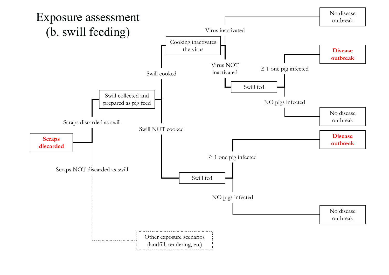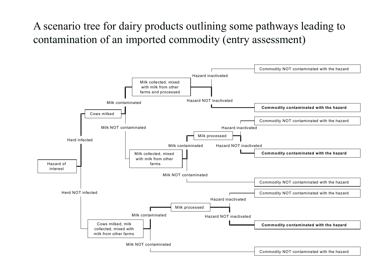#### A scenario tree for dairy products outlining some pathways leading to contamination of an imported commodity (entry assessment)